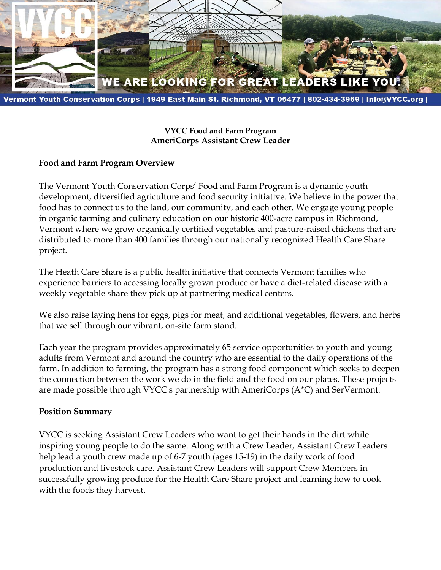

**VYCC Food and Farm Program AmeriCorps Assistant Crew Leader**

## **Food and Farm Program Overview**

The Vermont Youth Conservation Corps' Food and Farm Program is a dynamic youth development, diversified agriculture and food security initiative. We believe in the power that food has to connect us to the land, our community, and each other. We engage young people in organic farming and culinary education on our historic 400-acre campus in Richmond, Vermont where we grow organically certified vegetables and pasture-raised chickens that are distributed to more than 400 families through our nationally recognized Health Care Share project.

The Heath Care Share is a public health initiative that connects Vermont families who experience barriers to accessing locally grown produce or have a diet-related disease with a weekly vegetable share they pick up at partnering medical centers.

We also raise laying hens for eggs, pigs for meat, and additional vegetables, flowers, and herbs that we sell through our vibrant, on-site farm stand.

Each year the program provides approximately 65 service opportunities to youth and young adults from Vermont and around the country who are essential to the daily operations of the farm. In addition to farming, the program has a strong food component which seeks to deepen the connection between the work we do in the field and the food on our plates. These projects are made possible through VYCC's partnership with AmeriCorps (A\*C) and SerVermont.

#### **Position Summary**

VYCC is seeking Assistant Crew Leaders who want to get their hands in the dirt while inspiring young people to do the same. Along with a Crew Leader, Assistant Crew Leaders help lead a youth crew made up of 6-7 youth (ages 15-19) in the daily work of food production and livestock care. Assistant Crew Leaders will support Crew Members in successfully growing produce for the Health Care Share project and learning how to cook with the foods they harvest.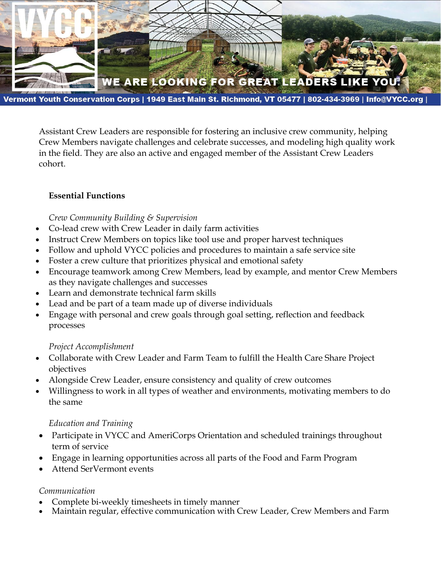

Assistant Crew Leaders are responsible for fostering an inclusive crew community, helping Crew Members navigate challenges and celebrate successes, and modeling high quality work in the field. They are also an active and engaged member of the Assistant Crew Leaders cohort.

# **Essential Functions**

*Crew Community Building & Supervision*

- Co-lead crew with Crew Leader in daily farm activities
- Instruct Crew Members on topics like tool use and proper harvest techniques
- Follow and uphold VYCC policies and procedures to maintain a safe service site
- Foster a crew culture that prioritizes physical and emotional safety
- Encourage teamwork among Crew Members, lead by example, and mentor Crew Members as they navigate challenges and successes
- Learn and demonstrate technical farm skills
- Lead and be part of a team made up of diverse individuals
- Engage with personal and crew goals through goal setting, reflection and feedback processes

## *Project Accomplishment*

- Collaborate with Crew Leader and Farm Team to fulfill the Health Care Share Project objectives
- Alongside Crew Leader, ensure consistency and quality of crew outcomes
- Willingness to work in all types of weather and environments, motivating members to do the same

## *Education and Training*

- Participate in VYCC and AmeriCorps Orientation and scheduled trainings throughout term of service
- Engage in learning opportunities across all parts of the Food and Farm Program
- Attend SerVermont events

## *Communication*

- Complete bi-weekly timesheets in timely manner
- Maintain regular, effective communication with Crew Leader, Crew Members and Farm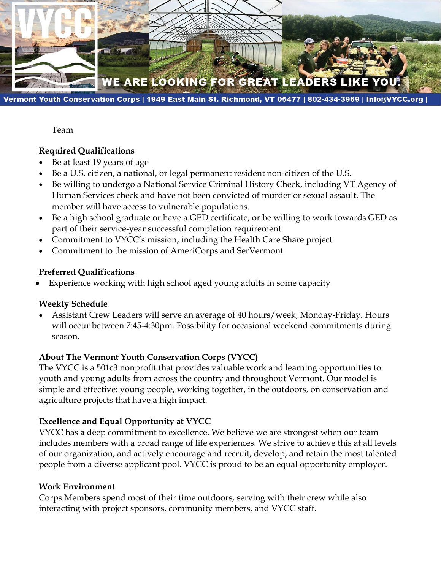

Vermont Youth Conservation Corps | 1949 East Main St. Richmond, VT 05477 | 802-434-3969 | Info@VYCC.org

#### Team

## **Required Qualifications**

- Be at least 19 years of age
- Be a U.S. citizen, a national, or legal permanent resident non-citizen of the U.S.
- Be willing to undergo a National Service Criminal History Check, including VT Agency of Human Services check and have not been convicted of murder or sexual assault. The member will have access to vulnerable populations.
- Be a high school graduate or have a GED certificate, or be willing to work towards GED as part of their service-year successful completion requirement
- Commitment to VYCC's mission, including the Health Care Share project
- Commitment to the mission of AmeriCorps and SerVermont

#### **Preferred Qualifications**

• Experience working with high school aged young adults in some capacity

#### **Weekly Schedule**

• Assistant Crew Leaders will serve an average of 40 hours/week, Monday-Friday. Hours will occur between 7:45-4:30pm. Possibility for occasional weekend commitments during season.

## **About The Vermont Youth Conservation Corps (VYCC)**

The VYCC is a 501c3 nonprofit that provides valuable work and learning opportunities to youth and young adults from across the country and throughout Vermont. Our model is simple and effective: young people, working together, in the outdoors, on conservation and agriculture projects that have a high impact.

## **Excellence and Equal Opportunity at VYCC**

VYCC has a deep commitment to excellence. We believe we are strongest when our team includes members with a broad range of life experiences. We strive to achieve this at all levels of our organization, and actively encourage and recruit, develop, and retain the most talented people from a diverse applicant pool. VYCC is proud to be an equal opportunity employer.

#### **Work Environment**

Corps Members spend most of their time outdoors, serving with their crew while also interacting with project sponsors, community members, and VYCC staff.